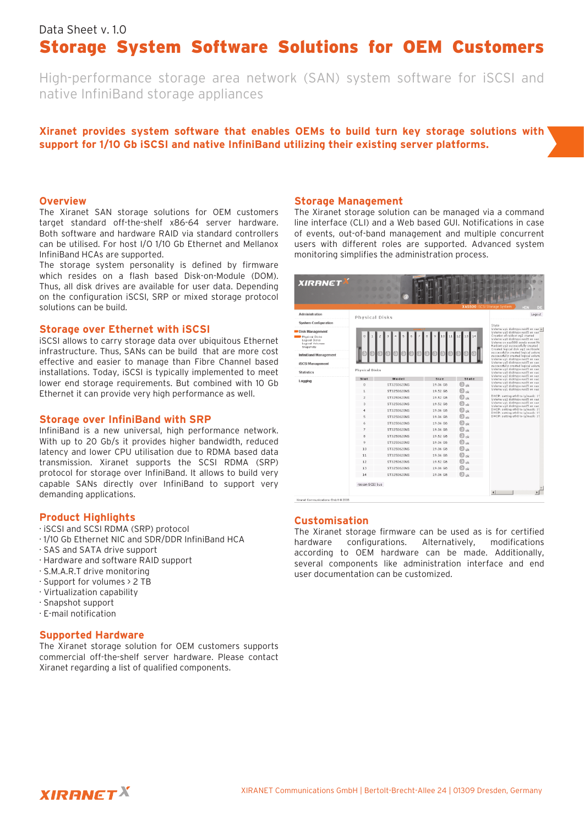# Data Sheet v.10 Storage System Software Solutions for OEM Customers

High-performance storage area network (SAN) system software for iSCSI and native InfiniBand storage appliances

## Xiranet provides system software that enables OEMs to build turn key storage solutions with **support for 1/10 Gb iSCSIand native InfiniBand utilizing th eir e xisting se rve r platform s.**

#### **Ove rvie w**

The Xiranet SAN storage solutions for OEM customers target standard off-the-shelf x86-64 server hardware. Both software and hardware RAID via standard controllers can be utilised. For host I/O 1/10 Gb Ethernet and Mellanox InfiniBand HCAs are supported.

The storage system personality is defined by firmware which resides on a flash based Disk-on-Module (DOM). Thus, all disk drives are available for user data. Depending on the configuration iSCSI, SRP or mixed storage protocol solutions can be build.

#### **Storage ove r Eth e rne t w ith iSCSI**

iSCSI allows to carry storage data over ubiquitous Ethernet infrastructure. Thus, SANs can be build that are more cost effective and easier to manage than Fibre Channel based installations. Today, iSCSI is typically implemented to meet lower end storage requirements. But combined with 10 Gb Ethernet it can provide very high performance as well.

#### **Storage ove r InfiniBand w ith SRP**

InfiniBand is a new universal, high performance network. With up to 20 Gb/s it provides higher bandwidth, reduced latency and lower CPU utilisation due to RDMA based data transmission. Xiranet supports the SCSI RDMA (SRP) protocol for storage over InfiniBand. It allows to build very capable SANs directly over InfiniBand to support very de manding applications.

#### **Product Highlights**

- · iSCSI and SCSI RDMA (SRP) protocol
- ·1/10 Gb Ethernet NIC and SDR/DDR InfiniBand HCA
- ·SAS and SATA drive support
- ·H ardw are and softw are RAID support
- $\cdot$  S.M.A.R.T drive monitoring
- · Support for volumes > 2 TB
- ·Virtualization capability
- $\cdot$  Snapshot support
- ·E-m ailnotification

#### **Supported Hardware**

The Xiranet storage solution for OEM customers supports commercial off-the-shelf server hardware. Please contact Xiranet regarding a list of qualified components.

#### **Storage Management**

The Xiranet storage solution can be managed via a command line interface (CLI) and a Web based GUI. Notifications in case of events, out-of-band management and multiple concurrent users with different roles are supported. Advanced system monitoring simplifies the administration process.

|                                                                 |                  |             |          |                               | <b>XAS500 ISCSI Storage System</b><br>3517                                                                                                                                                                                                                                                                                                                                                                                                       |
|-----------------------------------------------------------------|------------------|-------------|----------|-------------------------------|--------------------------------------------------------------------------------------------------------------------------------------------------------------------------------------------------------------------------------------------------------------------------------------------------------------------------------------------------------------------------------------------------------------------------------------------------|
| Administration                                                  | Physical Disks   |             |          |                               | Logout                                                                                                                                                                                                                                                                                                                                                                                                                                           |
| <b>System Configuration</b>                                     |                  |             |          |                               | State<br>Volume vq1 disktype raid5 on Has a<br>Volume vg0 disktype raid5 on xas                                                                                                                                                                                                                                                                                                                                                                  |
| Disk Management                                                 |                  |             |          |                               |                                                                                                                                                                                                                                                                                                                                                                                                                                                  |
| Physical Disks<br>Logical Disks<br>Logical Volumes<br>Snapshots | $\theta$         |             |          |                               | Creation of raidset vg2 started<br>Volume vg0 disktype raid5 on xas<br>Volume on xas500 sends event No<br>Raidset vg2 successfully created<br>Created logical disk yo2 on /dev/n<br>successfully created logical volum                                                                                                                                                                                                                           |
| <b>InfiniBand Management</b>                                    |                  |             |          |                               | successfully created logical volum<br>Volume vq1 disktype raid5 on xas                                                                                                                                                                                                                                                                                                                                                                           |
| <b>iSCSI Management</b>                                         |                  |             |          |                               | Volume vg0 disktype raid5 on Has<br>successfully created logical volum                                                                                                                                                                                                                                                                                                                                                                           |
| <b>Statistics</b>                                               | Physical Disks   |             |          |                               | Volume vg2 disktype raid5 on xas<br>Volume vg0 disktype raid5 on Has                                                                                                                                                                                                                                                                                                                                                                             |
| Logging                                                         | Slot             | Model       | Size     | State                         | Volume vg2 disktype raid5 on Has<br>Volume vq1 disktype raid5 on xas<br>Volume vg0 disktype raid5 on Has<br>Volume vg2 disktype raid5 on xas<br>Volume vol disktype raid5 on xas<br>DHCP: setting eth0 to ip/mask: 15<br>Volume vg2 disktype raid5 on nas<br>Volume vg1 disktype raid5 on Has<br>Volume vq2 disktype raid5 on xas<br>DHCP: setting ethO to ip/mask: 15<br>DHCP: setting eth0 to ip/mask: 15<br>DHCP: setting ethO to ip/mask: 15 |
|                                                                 | $\circ$          | ST3250620NS | 19.06 GB | $\circledcirc_{\alpha k}$     |                                                                                                                                                                                                                                                                                                                                                                                                                                                  |
|                                                                 | 1                | ST3250620NS | 19.52 GB | $\circledcirc$ ok             |                                                                                                                                                                                                                                                                                                                                                                                                                                                  |
|                                                                 | $\overline{c}$   | ST3250620NS | 19.52 GB | $\circledcirc_{\alpha k}$     |                                                                                                                                                                                                                                                                                                                                                                                                                                                  |
|                                                                 | 3                | ST3250620NS | 19.52 GB | $\mathcal{O}_{ok}$            |                                                                                                                                                                                                                                                                                                                                                                                                                                                  |
|                                                                 | $\boldsymbol{d}$ | ST3250620NS | 19.06 GB | © ok                          |                                                                                                                                                                                                                                                                                                                                                                                                                                                  |
|                                                                 | 5                | ST3250620NS | 19.06 GB | $\circledcirc_{\circ k}$      |                                                                                                                                                                                                                                                                                                                                                                                                                                                  |
|                                                                 | ĥ                | ST3250620NS | 19.06 GB | $\circledcirc$ ok             |                                                                                                                                                                                                                                                                                                                                                                                                                                                  |
|                                                                 |                  | ST3250620NS | 19.06 GB | $\circledcirc$ ok             |                                                                                                                                                                                                                                                                                                                                                                                                                                                  |
|                                                                 | 8                | ST3250620NS | 19.52 GB | $\circledcirc$ ok             |                                                                                                                                                                                                                                                                                                                                                                                                                                                  |
|                                                                 | 9                | ST3250620NS | 19.06 GB | $\circledcirc_{\alpha k}$     |                                                                                                                                                                                                                                                                                                                                                                                                                                                  |
|                                                                 | 10               | ST3250620NS | 19.06 GB | $\circledcirc$                |                                                                                                                                                                                                                                                                                                                                                                                                                                                  |
|                                                                 | 11               | ST3250620NS | 19.06 GB | $\circledB_{\alpha k}$        |                                                                                                                                                                                                                                                                                                                                                                                                                                                  |
|                                                                 | 12               | ST3250620NS | 19.52 GB | $\circledcirc_{\alpha\alpha}$ |                                                                                                                                                                                                                                                                                                                                                                                                                                                  |
|                                                                 | 13               | ST3250620NS | 19.06 GB | $\circledcirc$ ok             |                                                                                                                                                                                                                                                                                                                                                                                                                                                  |
|                                                                 | 14               | ST3250620NS | 19.06 GB | $\circledcirc_{\circ k}$      |                                                                                                                                                                                                                                                                                                                                                                                                                                                  |
|                                                                 | rescan SCSI bus  |             |          |                               |                                                                                                                                                                                                                                                                                                                                                                                                                                                  |

#### **Custom isation**

The Xiranet storage firmware can be used as is for certified hardware configurations. Alternatively, modifications according to OEM hardware can be made. Additionally, several components like administration interface and end user documentation can be customized.